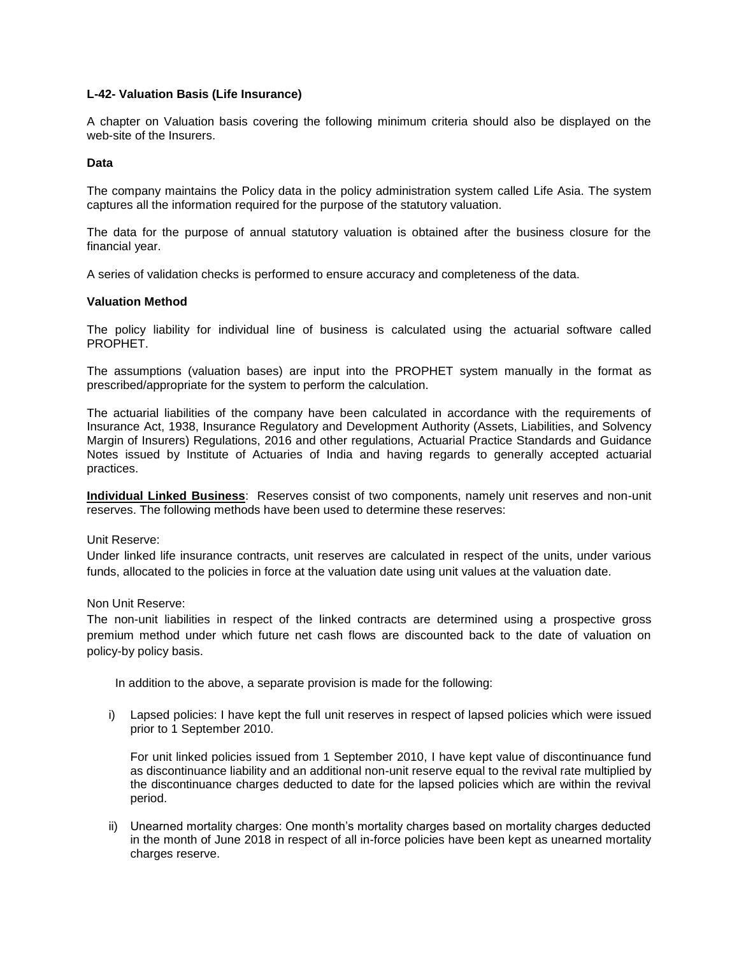# **L-42- Valuation Basis (Life Insurance)**

A chapter on Valuation basis covering the following minimum criteria should also be displayed on the web-site of the Insurers.

# **Data**

The company maintains the Policy data in the policy administration system called Life Asia. The system captures all the information required for the purpose of the statutory valuation.

The data for the purpose of annual statutory valuation is obtained after the business closure for the financial year.

A series of validation checks is performed to ensure accuracy and completeness of the data.

## **Valuation Method**

The policy liability for individual line of business is calculated using the actuarial software called PROPHET.

The assumptions (valuation bases) are input into the PROPHET system manually in the format as prescribed/appropriate for the system to perform the calculation.

The actuarial liabilities of the company have been calculated in accordance with the requirements of Insurance Act, 1938, Insurance Regulatory and Development Authority (Assets, Liabilities, and Solvency Margin of Insurers) Regulations, 2016 and other regulations, Actuarial Practice Standards and Guidance Notes issued by Institute of Actuaries of India and having regards to generally accepted actuarial practices.

**Individual Linked Business**: Reserves consist of two components, namely unit reserves and non-unit reserves. The following methods have been used to determine these reserves:

#### Unit Reserve:

Under linked life insurance contracts, unit reserves are calculated in respect of the units, under various funds, allocated to the policies in force at the valuation date using unit values at the valuation date.

Non Unit Reserve:

The non-unit liabilities in respect of the linked contracts are determined using a prospective gross premium method under which future net cash flows are discounted back to the date of valuation on policy-by policy basis.

In addition to the above, a separate provision is made for the following:

i) Lapsed policies: I have kept the full unit reserves in respect of lapsed policies which were issued prior to 1 September 2010.

For unit linked policies issued from 1 September 2010, I have kept value of discontinuance fund as discontinuance liability and an additional non-unit reserve equal to the revival rate multiplied by the discontinuance charges deducted to date for the lapsed policies which are within the revival period.

ii) Unearned mortality charges: One month's mortality charges based on mortality charges deducted in the month of June 2018 in respect of all in-force policies have been kept as unearned mortality charges reserve.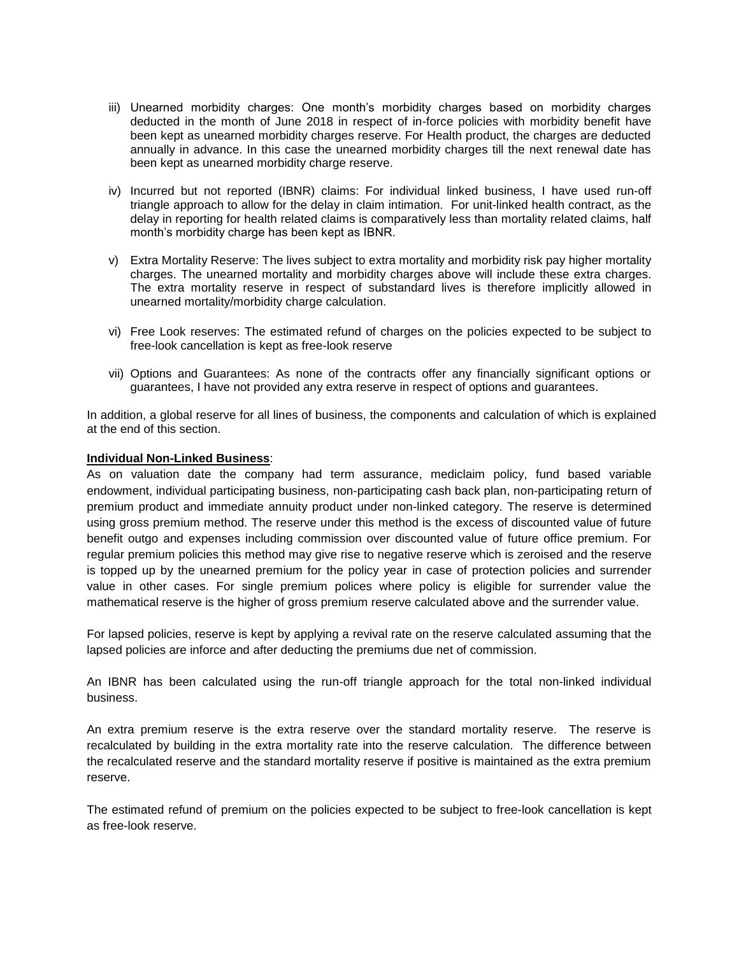- iii) Unearned morbidity charges: One month's morbidity charges based on morbidity charges deducted in the month of June 2018 in respect of in-force policies with morbidity benefit have been kept as unearned morbidity charges reserve. For Health product, the charges are deducted annually in advance. In this case the unearned morbidity charges till the next renewal date has been kept as unearned morbidity charge reserve.
- iv) Incurred but not reported (IBNR) claims: For individual linked business, I have used run-off triangle approach to allow for the delay in claim intimation. For unit-linked health contract, as the delay in reporting for health related claims is comparatively less than mortality related claims, half month's morbidity charge has been kept as IBNR.
- v) Extra Mortality Reserve: The lives subject to extra mortality and morbidity risk pay higher mortality charges. The unearned mortality and morbidity charges above will include these extra charges. The extra mortality reserve in respect of substandard lives is therefore implicitly allowed in unearned mortality/morbidity charge calculation.
- vi) Free Look reserves: The estimated refund of charges on the policies expected to be subject to free-look cancellation is kept as free-look reserve
- vii) Options and Guarantees: As none of the contracts offer any financially significant options or guarantees, I have not provided any extra reserve in respect of options and guarantees.

In addition, a global reserve for all lines of business, the components and calculation of which is explained at the end of this section.

## **Individual Non-Linked Business**:

As on valuation date the company had term assurance, mediclaim policy, fund based variable endowment, individual participating business, non-participating cash back plan, non-participating return of premium product and immediate annuity product under non-linked category. The reserve is determined using gross premium method. The reserve under this method is the excess of discounted value of future benefit outgo and expenses including commission over discounted value of future office premium. For regular premium policies this method may give rise to negative reserve which is zeroised and the reserve is topped up by the unearned premium for the policy year in case of protection policies and surrender value in other cases. For single premium polices where policy is eligible for surrender value the mathematical reserve is the higher of gross premium reserve calculated above and the surrender value.

For lapsed policies, reserve is kept by applying a revival rate on the reserve calculated assuming that the lapsed policies are inforce and after deducting the premiums due net of commission.

An IBNR has been calculated using the run-off triangle approach for the total non-linked individual business.

An extra premium reserve is the extra reserve over the standard mortality reserve. The reserve is recalculated by building in the extra mortality rate into the reserve calculation. The difference between the recalculated reserve and the standard mortality reserve if positive is maintained as the extra premium reserve.

The estimated refund of premium on the policies expected to be subject to free-look cancellation is kept as free-look reserve.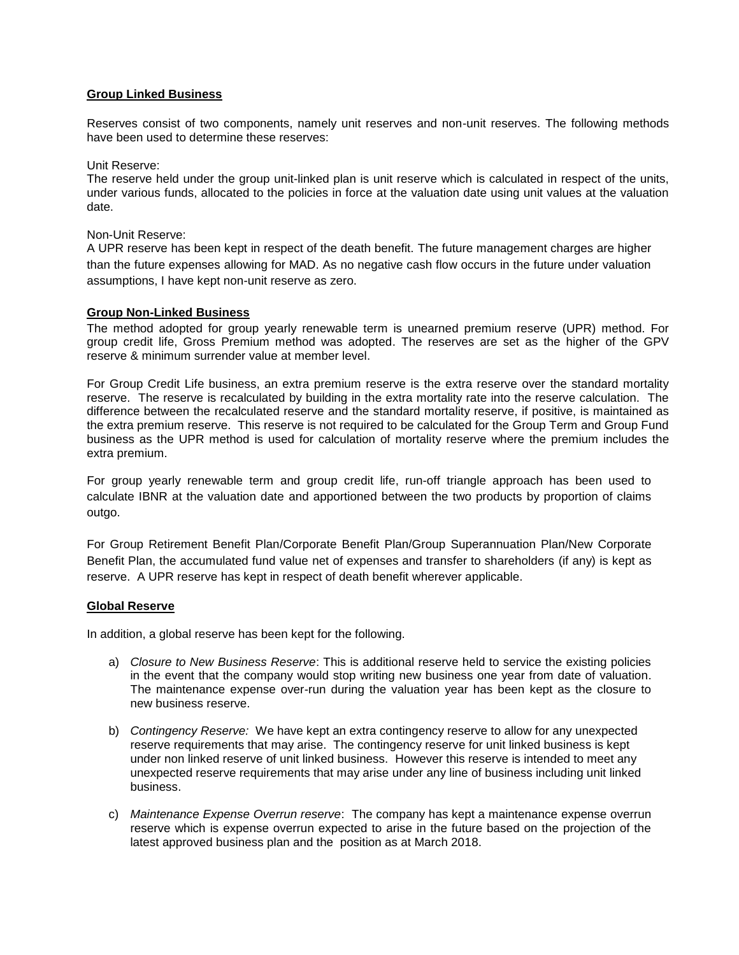# **Group Linked Business**

Reserves consist of two components, namely unit reserves and non-unit reserves. The following methods have been used to determine these reserves:

Unit Reserve:

The reserve held under the group unit-linked plan is unit reserve which is calculated in respect of the units, under various funds, allocated to the policies in force at the valuation date using unit values at the valuation date.

## Non-Unit Reserve:

A UPR reserve has been kept in respect of the death benefit. The future management charges are higher than the future expenses allowing for MAD. As no negative cash flow occurs in the future under valuation assumptions, I have kept non-unit reserve as zero.

# **Group Non-Linked Business**

The method adopted for group yearly renewable term is unearned premium reserve (UPR) method. For group credit life, Gross Premium method was adopted. The reserves are set as the higher of the GPV reserve & minimum surrender value at member level.

For Group Credit Life business, an extra premium reserve is the extra reserve over the standard mortality reserve. The reserve is recalculated by building in the extra mortality rate into the reserve calculation. The difference between the recalculated reserve and the standard mortality reserve, if positive, is maintained as the extra premium reserve. This reserve is not required to be calculated for the Group Term and Group Fund business as the UPR method is used for calculation of mortality reserve where the premium includes the extra premium.

For group yearly renewable term and group credit life, run-off triangle approach has been used to calculate IBNR at the valuation date and apportioned between the two products by proportion of claims outgo.

For Group Retirement Benefit Plan/Corporate Benefit Plan/Group Superannuation Plan/New Corporate Benefit Plan, the accumulated fund value net of expenses and transfer to shareholders (if any) is kept as reserve. A UPR reserve has kept in respect of death benefit wherever applicable.

# **Global Reserve**

In addition, a global reserve has been kept for the following.

- a) *Closure to New Business Reserve*: This is additional reserve held to service the existing policies in the event that the company would stop writing new business one year from date of valuation. The maintenance expense over-run during the valuation year has been kept as the closure to new business reserve.
- b) *Contingency Reserve:* We have kept an extra contingency reserve to allow for any unexpected reserve requirements that may arise. The contingency reserve for unit linked business is kept under non linked reserve of unit linked business. However this reserve is intended to meet any unexpected reserve requirements that may arise under any line of business including unit linked business.
- c) *Maintenance Expense Overrun reserve*: The company has kept a maintenance expense overrun reserve which is expense overrun expected to arise in the future based on the projection of the latest approved business plan and the position as at March 2018.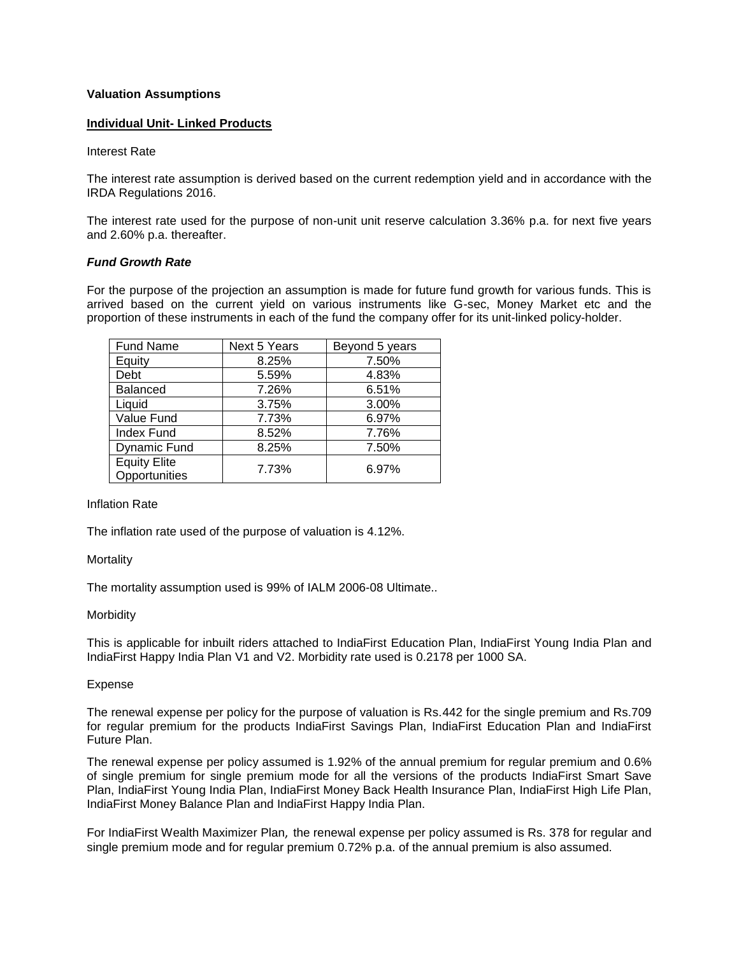## **Valuation Assumptions**

## **Individual Unit- Linked Products**

#### Interest Rate

The interest rate assumption is derived based on the current redemption yield and in accordance with the IRDA Regulations 2016.

The interest rate used for the purpose of non-unit unit reserve calculation 3.36% p.a. for next five years and 2.60% p.a. thereafter.

## *Fund Growth Rate*

For the purpose of the projection an assumption is made for future fund growth for various funds. This is arrived based on the current yield on various instruments like G-sec, Money Market etc and the proportion of these instruments in each of the fund the company offer for its unit-linked policy-holder.

| <b>Fund Name</b>                     | Next 5 Years | Beyond 5 years |
|--------------------------------------|--------------|----------------|
| Equity                               | 8.25%        | 7.50%          |
| Debt                                 | 5.59%        | 4.83%          |
| <b>Balanced</b>                      | 7.26%        | 6.51%          |
| Liquid                               | 3.75%        | 3.00%          |
| Value Fund                           | 7.73%        | 6.97%          |
| <b>Index Fund</b>                    | 8.52%        | 7.76%          |
| <b>Dynamic Fund</b>                  | 8.25%        | 7.50%          |
| <b>Equity Elite</b><br>Opportunities | 7.73%        | 6.97%          |

## Inflation Rate

The inflation rate used of the purpose of valuation is 4.12%.

#### **Mortality**

The mortality assumption used is 99% of IALM 2006-08 Ultimate..

#### **Morbidity**

This is applicable for inbuilt riders attached to IndiaFirst Education Plan, IndiaFirst Young India Plan and IndiaFirst Happy India Plan V1 and V2. Morbidity rate used is 0.2178 per 1000 SA.

#### Expense

The renewal expense per policy for the purpose of valuation is Rs.442 for the single premium and Rs.709 for regular premium for the products IndiaFirst Savings Plan, IndiaFirst Education Plan and IndiaFirst Future Plan.

The renewal expense per policy assumed is 1.92% of the annual premium for regular premium and 0.6% of single premium for single premium mode for all the versions of the products IndiaFirst Smart Save Plan, IndiaFirst Young India Plan, IndiaFirst Money Back Health Insurance Plan, IndiaFirst High Life Plan, IndiaFirst Money Balance Plan and IndiaFirst Happy India Plan.

For IndiaFirst Wealth Maximizer Plan, the renewal expense per policy assumed is Rs. 378 for regular and single premium mode and for regular premium 0.72% p.a. of the annual premium is also assumed.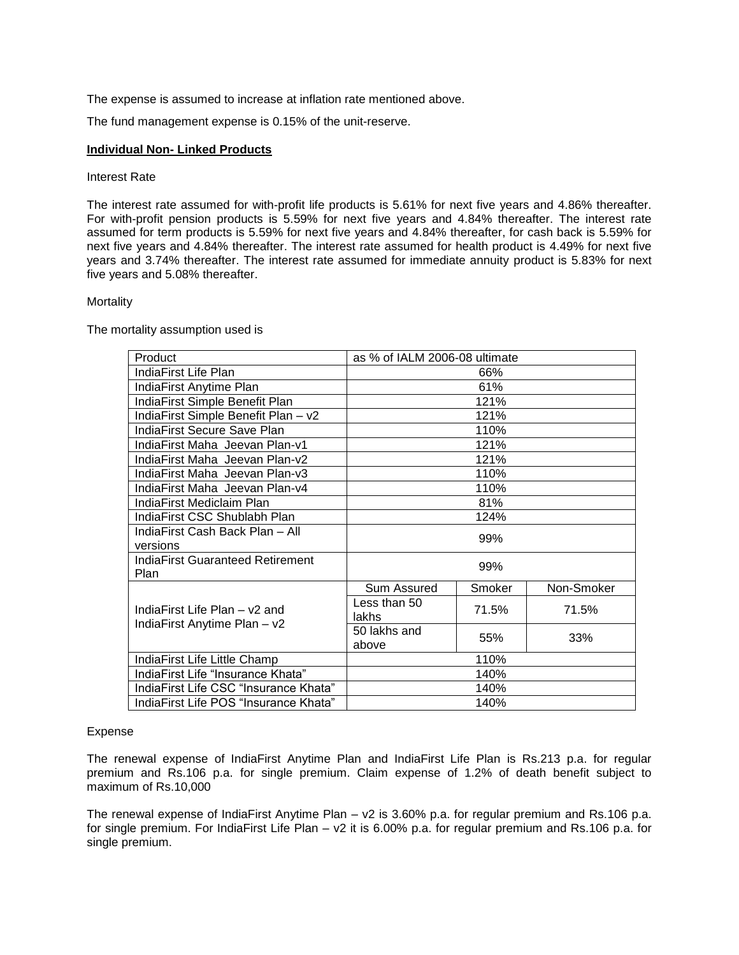The expense is assumed to increase at inflation rate mentioned above.

The fund management expense is 0.15% of the unit-reserve.

## **Individual Non- Linked Products**

## Interest Rate

The interest rate assumed for with-profit life products is 5.61% for next five years and 4.86% thereafter. For with-profit pension products is 5.59% for next five years and 4.84% thereafter. The interest rate assumed for term products is 5.59% for next five years and 4.84% thereafter, for cash back is 5.59% for next five years and 4.84% thereafter. The interest rate assumed for health product is 4.49% for next five years and 3.74% thereafter. The interest rate assumed for immediate annuity product is 5.83% for next five years and 5.08% thereafter.

## Mortality

The mortality assumption used is

| Product                                         | as % of IALM 2006-08 ultimate |        |            |
|-------------------------------------------------|-------------------------------|--------|------------|
| IndiaFirst Life Plan                            |                               | 66%    |            |
| IndiaFirst Anytime Plan                         |                               | 61%    |            |
| IndiaFirst Simple Benefit Plan                  | 121%                          |        |            |
| IndiaFirst Simple Benefit Plan - v2             | 121%                          |        |            |
| IndiaFirst Secure Save Plan                     | 110%                          |        |            |
| IndiaFirst Maha Jeevan Plan-v1                  |                               | 121%   |            |
| IndiaFirst Maha Jeevan Plan-v2                  |                               | 121%   |            |
| IndiaFirst Maha Jeevan Plan-v3                  | 110%                          |        |            |
| IndiaFirst Maha Jeevan Plan-v4                  | 110%                          |        |            |
| IndiaFirst Mediclaim Plan                       | 81%                           |        |            |
| IndiaFirst CSC Shublabh Plan                    | 124%                          |        |            |
| IndiaFirst Cash Back Plan - All                 | 99%                           |        |            |
| versions                                        |                               |        |            |
| <b>IndiaFirst Guaranteed Retirement</b><br>Plan |                               | 99%    |            |
|                                                 | Sum Assured                   | Smoker | Non-Smoker |
| IndiaFirst Life Plan - v2 and                   | Less than 50<br>lakhs         | 71.5%  | 71.5%      |
| IndiaFirst Anytime Plan - v2                    | 50 lakhs and<br>above         | 55%    | 33%        |
| IndiaFirst Life Little Champ                    | 110%                          |        |            |
| IndiaFirst Life "Insurance Khata"               | 140%                          |        |            |
| IndiaFirst Life CSC "Insurance Khata"           | 140%                          |        |            |
| IndiaFirst Life POS "Insurance Khata"           | 140%                          |        |            |

# Expense

The renewal expense of IndiaFirst Anytime Plan and IndiaFirst Life Plan is Rs.213 p.a. for regular premium and Rs.106 p.a. for single premium. Claim expense of 1.2% of death benefit subject to maximum of Rs.10,000

The renewal expense of IndiaFirst Anytime Plan – v2 is 3.60% p.a. for regular premium and Rs.106 p.a. for single premium. For IndiaFirst Life Plan – v2 it is 6.00% p.a. for regular premium and Rs.106 p.a. for single premium.